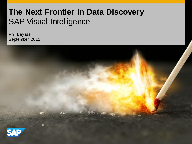## **The Next Frontier in Data Discovery** SAP Visual Intelligence

Phil Bayliss September 2012

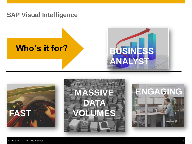## **SAP Visual Intelligence**







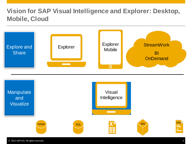## **Vision for SAP Visual Intelligence and Explorer: Desktop, Mobile, Cloud**











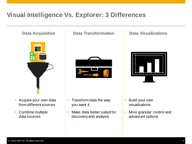## **Visual Intelligence Vs. Explorer: 3 Differences**



- Acquire your own data from different sources
- Combine multiple data sources

### **Data Acquisition Data Transformation Data Visualizations**



- Transform data the way you want it
- Make data better suited for discovery and analysis



- Build your own visualizations
- More granular control and advanced options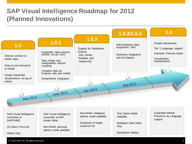## **SAP Visual Intelligence Roadmap for 2012 (Planned Innovations)**

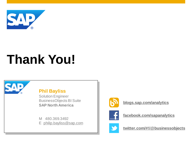

# **Thank You!**



**Phil Bayliss**

Solution Engineer BusinessObjects BI Suite **SAP North America**

M 480.369.3492 E philip.bayliss@sap.com



**[blogs.sap.com/analytics](http://blogs.sap.com/analytics)**



**[facebook.com/sapanalytics](http://www.facebook.com/SAPanalytics)**



**[twitter.com/#!/@businessobjects](http://www.twitter.com/)**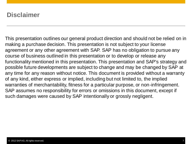## **Disclaimer**

This presentation outlines our general product direction and should not be relied on in making a purchase decision. This presentation is not subject to your license agreement or any other agreement with SAP. SAP has no obligation to pursue any course of business outlined in this presentation or to develop or release any functionality mentioned in this presentation. This presentation and SAP's strategy and possible future developments are subject to change and may be changed by SAP at any time for any reason without notice. This document is provided without a warranty of any kind, either express or implied, including but not limited to, the implied warranties of merchantability, fitness for a particular purpose, or non-infringement. SAP assumes no responsibility for errors or omissions in this document, except if such damages were caused by SAP intentionally or grossly negligent.